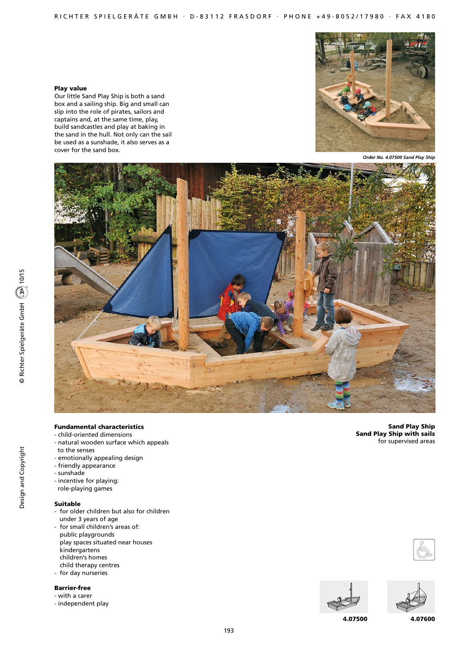## Play value

Our little Sand Play Ship is both a sand box and a sailing ship. Big and small can slip into the role of pirates, sailors and captains and, at the same time, play, build sandcastles and play at baking in the sand in the hull. Not only can the sail be used as a sunshade, it also serves as a cover for the sand box.



*Order No. 4.07500 Sand Play Ship*



193

# Fundamental characteristics

- child-oriented dimensions
- natural wooden surface which appeals to the senses
- emotionally appealing design
- friendly appearance
- sunshade
- incentive for playing:
- role-playing games

#### Suitable

- for older children but also for children under 3 years of age
- for small children's areas of: public playgrounds play spaces situated near houses kindergartens children's homes
- child therapy centres
- for day nurseries

## Barrier-free

- with a carer
- independent play

Sand Play Ship Sand Play Ship with sails for supervised areas





4.07500

4.07600

Design and Copyright